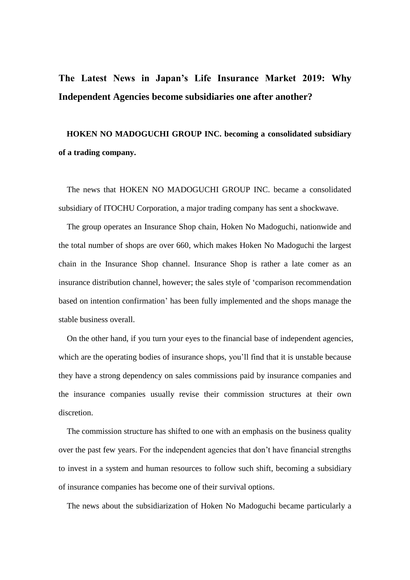## **The Latest News in Japan's Life Insurance Market 2019: Why Independent Agencies become subsidiaries one after another?**

## **HOKEN NO MADOGUCHI GROUP INC. becoming a consolidated subsidiary of a trading company.**

The news that HOKEN NO MADOGUCHI GROUP INC. became a consolidated subsidiary of ITOCHU Corporation, a major trading company has sent a shockwave.

The group operates an Insurance Shop chain, Hoken No Madoguchi, nationwide and the total number of shops are over 660, which makes Hoken No Madoguchi the largest chain in the Insurance Shop channel. Insurance Shop is rather a late comer as an insurance distribution channel, however; the sales style of 'comparison recommendation based on intention confirmation' has been fully implemented and the shops manage the stable business overall.

On the other hand, if you turn your eyes to the financial base of independent agencies, which are the operating bodies of insurance shops, you'll find that it is unstable because they have a strong dependency on sales commissions paid by insurance companies and the insurance companies usually revise their commission structures at their own discretion.

The commission structure has shifted to one with an emphasis on the business quality over the past few years. For the independent agencies that don't have financial strengths to invest in a system and human resources to follow such shift, becoming a subsidiary of insurance companies has become one of their survival options.

The news about the subsidiarization of Hoken No Madoguchi became particularly a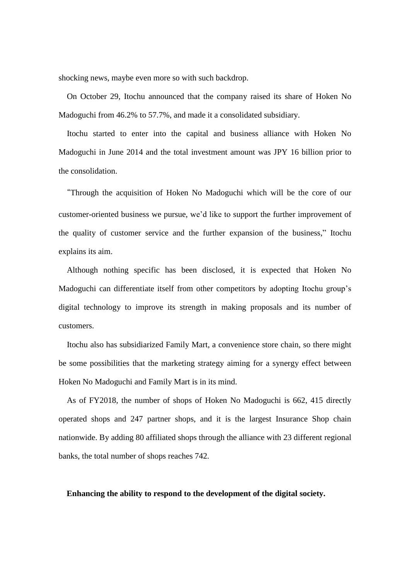shocking news, maybe even more so with such backdrop.

On October 29, Itochu announced that the company raised its share of Hoken No Madoguchi from 46.2% to 57.7%, and made it a consolidated subsidiary.

Itochu started to enter into the capital and business alliance with Hoken No Madoguchi in June 2014 and the total investment amount was JPY 16 billion prior to the consolidation.

"Through the acquisition of Hoken No Madoguchi which will be the core of our customer-oriented business we pursue, we'd like to support the further improvement of the quality of customer service and the further expansion of the business," Itochu explains its aim.

Although nothing specific has been disclosed, it is expected that Hoken No Madoguchi can differentiate itself from other competitors by adopting Itochu group's digital technology to improve its strength in making proposals and its number of customers.

Itochu also has subsidiarized Family Mart, a convenience store chain, so there might be some possibilities that the marketing strategy aiming for a synergy effect between Hoken No Madoguchi and Family Mart is in its mind.

As of FY2018, the number of shops of Hoken No Madoguchi is 662, 415 directly operated shops and 247 partner shops, and it is the largest Insurance Shop chain nationwide. By adding 80 affiliated shops through the alliance with 23 different regional banks, the total number of shops reaches 742.

**Enhancing the ability to respond to the development of the digital society.**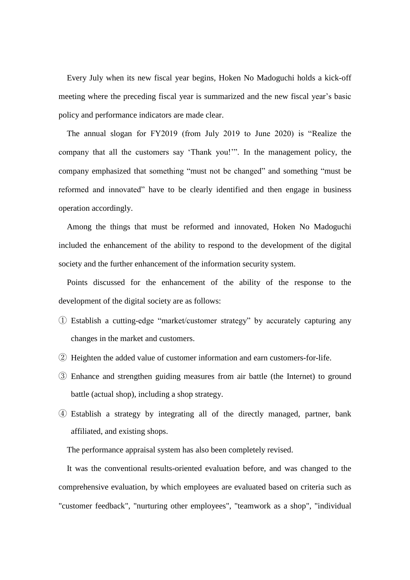Every July when its new fiscal year begins, Hoken No Madoguchi holds a kick-off meeting where the preceding fiscal year is summarized and the new fiscal year's basic policy and performance indicators are made clear.

The annual slogan for FY2019 (from July 2019 to June 2020) is "Realize the company that all the customers say 'Thank you!'". In the management policy, the company emphasized that something "must not be changed" and something "must be reformed and innovated" have to be clearly identified and then engage in business operation accordingly.

Among the things that must be reformed and innovated, Hoken No Madoguchi included the enhancement of the ability to respond to the development of the digital society and the further enhancement of the information security system.

Points discussed for the enhancement of the ability of the response to the development of the digital society are as follows:

- ① Establish a cutting-edge "market/customer strategy" by accurately capturing any changes in the market and customers.
- ② Heighten the added value of customer information and earn customers-for-life.
- ③ Enhance and strengthen guiding measures from air battle (the Internet) to ground battle (actual shop), including a shop strategy.
- ④ Establish a strategy by integrating all of the directly managed, partner, bank affiliated, and existing shops.

The performance appraisal system has also been completely revised.

It was the conventional results-oriented evaluation before, and was changed to the comprehensive evaluation, by which employees are evaluated based on criteria such as "customer feedback", "nurturing other employees", "teamwork as a shop", "individual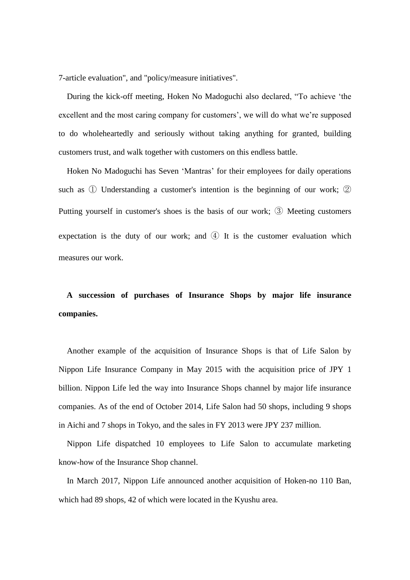7-article evaluation", and "policy/measure initiatives".

During the kick-off meeting, Hoken No Madoguchi also declared, "To achieve 'the excellent and the most caring company for customers', we will do what we're supposed to do wholeheartedly and seriously without taking anything for granted, building customers trust, and walk together with customers on this endless battle.

Hoken No Madoguchi has Seven 'Mantras' for their employees for daily operations such as ① Understanding a customer's intention is the beginning of our work; ② Putting yourself in customer's shoes is the basis of our work; ③ Meeting customers expectation is the duty of our work; and  $\Phi$  It is the customer evaluation which measures our work.

**A succession of purchases of Insurance Shops by major life insurance companies.**

Another example of the acquisition of Insurance Shops is that of Life Salon by Nippon Life Insurance Company in May 2015 with the acquisition price of JPY 1 billion. Nippon Life led the way into Insurance Shops channel by major life insurance companies. As of the end of October 2014, Life Salon had 50 shops, including 9 shops in Aichi and 7 shops in Tokyo, and the sales in FY 2013 were JPY 237 million.

Nippon Life dispatched 10 employees to Life Salon to accumulate marketing know-how of the Insurance Shop channel.

In March 2017, Nippon Life announced another acquisition of Hoken-no 110 Ban, which had 89 shops, 42 of which were located in the Kyushu area.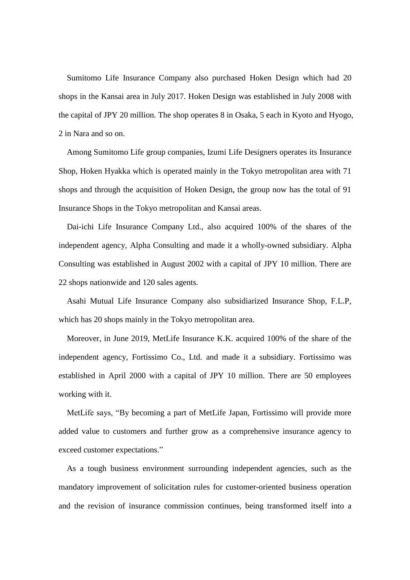Sumitomo Life Insurance Company also purchased Hoken Design which had 20 shops in the Kansai area in July 2017. Hoken Design was established in July 2008 with the capital of JPY 20 million. The shop operates 8 in Osaka, 5 each in Kyoto and Hyogo, 2 in Nara and so on.

Among Sumitomo Life group companies, Izumi Life Designers operates its Insurance Shop, Hoken Hyakka which is operated mainly in the Tokyo metropolitan area with 71 shops and through the acquisition of Hoken Design, the group now has the total of 91 Insurance Shops in the Tokyo metropolitan and Kansai areas.

Dai-ichi Life Insurance Company Ltd., also acquired 100% of the shares of the independent agency, Alpha Consulting and made it a wholly-owned subsidiary. Alpha Consulting was established in August 2002 with a capital of JPY 10 million. There are 22 shops nationwide and 120 sales agents.

Asahi Mutual Life Insurance Company also subsidiarized Insurance Shop, F.L.P, which has 20 shops mainly in the Tokyo metropolitan area.

Moreover, in June 2019, MetLife Insurance K.K. acquired 100% of the share of the independent agency, Fortissimo Co., Ltd. and made it a subsidiary. Fortissimo was established in April 2000 with a capital of JPY 10 million. There are 50 employees working with it.

MetLife says, "By becoming a part of MetLife Japan, Fortissimo will provide more added value to customers and further grow as a comprehensive insurance agency to exceed customer expectations."

As a tough business environment surrounding independent agencies, such as the mandatory improvement of solicitation rules for customer-oriented business operation and the revision of insurance commission continues, being transformed itself into a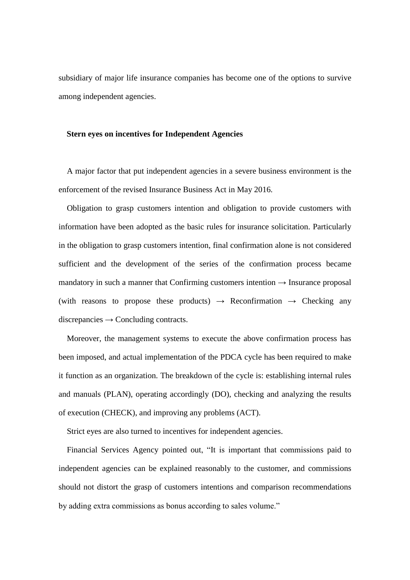subsidiary of major life insurance companies has become one of the options to survive among independent agencies.

## **Stern eyes on incentives for Independent Agencies**

A major factor that put independent agencies in a severe business environment is the enforcement of the revised Insurance Business Act in May 2016.

Obligation to grasp customers intention and obligation to provide customers with information have been adopted as the basic rules for insurance solicitation. Particularly in the obligation to grasp customers intention, final confirmation alone is not considered sufficient and the development of the series of the confirmation process became mandatory in such a manner that Confirming customers intention  $\rightarrow$  Insurance proposal (with reasons to propose these products)  $\rightarrow$  Reconfirmation  $\rightarrow$  Checking any  $discrepancies \rightarrow Concluding contracts.$ 

Moreover, the management systems to execute the above confirmation process has been imposed, and actual implementation of the PDCA cycle has been required to make it function as an organization. The breakdown of the cycle is: establishing internal rules and manuals (PLAN), operating accordingly (DO), checking and analyzing the results of execution (CHECK), and improving any problems (ACT).

Strict eyes are also turned to incentives for independent agencies.

Financial Services Agency pointed out, "It is important that commissions paid to independent agencies can be explained reasonably to the customer, and commissions should not distort the grasp of customers intentions and comparison recommendations by adding extra commissions as bonus according to sales volume."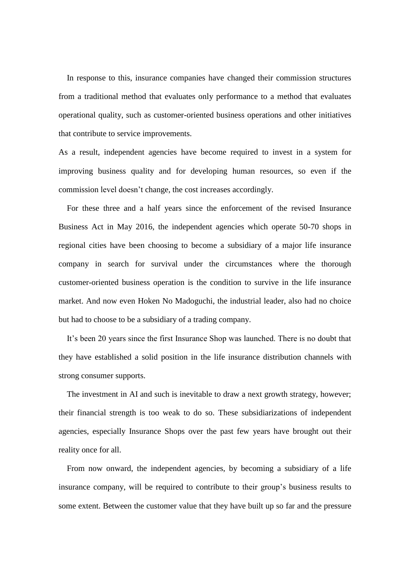In response to this, insurance companies have changed their commission structures from a traditional method that evaluates only performance to a method that evaluates operational quality, such as customer-oriented business operations and other initiatives that contribute to service improvements.

As a result, independent agencies have become required to invest in a system for improving business quality and for developing human resources, so even if the commission level doesn't change, the cost increases accordingly.

For these three and a half years since the enforcement of the revised Insurance Business Act in May 2016, the independent agencies which operate 50-70 shops in regional cities have been choosing to become a subsidiary of a major life insurance company in search for survival under the circumstances where the thorough customer-oriented business operation is the condition to survive in the life insurance market. And now even Hoken No Madoguchi, the industrial leader, also had no choice but had to choose to be a subsidiary of a trading company.

It's been 20 years since the first Insurance Shop was launched. There is no doubt that they have established a solid position in the life insurance distribution channels with strong consumer supports.

The investment in AI and such is inevitable to draw a next growth strategy, however; their financial strength is too weak to do so. These subsidiarizations of independent agencies, especially Insurance Shops over the past few years have brought out their reality once for all.

From now onward, the independent agencies, by becoming a subsidiary of a life insurance company, will be required to contribute to their group's business results to some extent. Between the customer value that they have built up so far and the pressure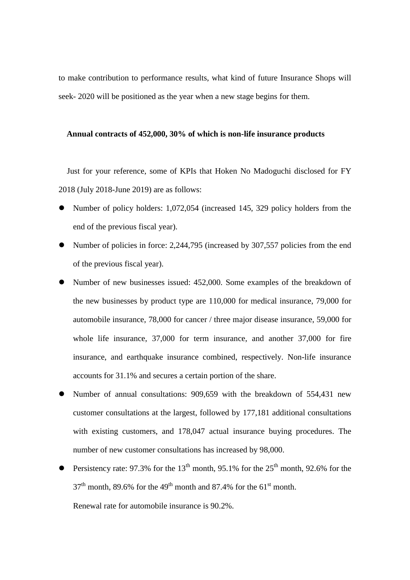to make contribution to performance results, what kind of future Insurance Shops will seek- 2020 will be positioned as the year when a new stage begins for them.

## **Annual contracts of 452,000, 30% of which is non-life insurance products**

Just for your reference, some of KPIs that Hoken No Madoguchi disclosed for FY 2018 (July 2018-June 2019) are as follows:

- Number of policy holders: 1,072,054 (increased 145, 329 policy holders from the end of the previous fiscal year).
- Number of policies in force: 2,244,795 (increased by 307,557 policies from the end of the previous fiscal year).
- Number of new businesses issued: 452,000. Some examples of the breakdown of the new businesses by product type are 110,000 for medical insurance, 79,000 for automobile insurance, 78,000 for cancer / three major disease insurance, 59,000 for whole life insurance, 37,000 for term insurance, and another 37,000 for fire insurance, and earthquake insurance combined, respectively. Non-life insurance accounts for 31.1% and secures a certain portion of the share.
- Number of annual consultations: 909,659 with the breakdown of 554,431 new customer consultations at the largest, followed by 177,181 additional consultations with existing customers, and 178,047 actual insurance buying procedures. The number of new customer consultations has increased by 98,000.
- Persistency rate: 97.3% for the 13<sup>th</sup> month, 95.1% for the 25<sup>th</sup> month, 92.6% for the  $37<sup>th</sup>$  month, 89.6% for the 49<sup>th</sup> month and 87.4% for the 61<sup>st</sup> month.

Renewal rate for automobile insurance is 90.2%.